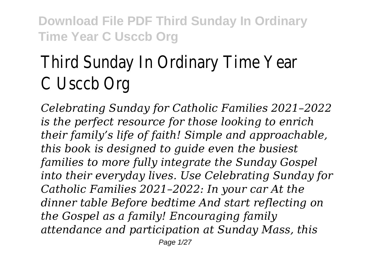# Third Sunday In Ordinary Time Year C Usccb Org

*Celebrating Sunday for Catholic Families 2021–2022 is the perfect resource for those looking to enrich their family's life of faith! Simple and approachable, this book is designed to guide even the busiest families to more fully integrate the Sunday Gospel into their everyday lives. Use Celebrating Sunday for Catholic Families 2021–2022: In your car At the dinner table Before bedtime And start reflecting on the Gospel as a family! Encouraging family attendance and participation at Sunday Mass, this* Page 1/27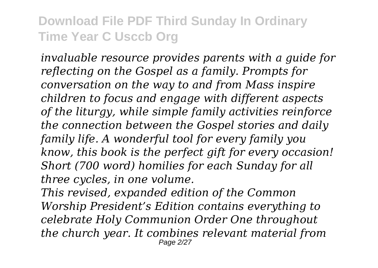*invaluable resource provides parents with a guide for reflecting on the Gospel as a family. Prompts for conversation on the way to and from Mass inspire children to focus and engage with different aspects of the liturgy, while simple family activities reinforce the connection between the Gospel stories and daily family life. A wonderful tool for every family you know, this book is the perfect gift for every occasion! Short (700 word) homilies for each Sunday for all three cycles, in one volume.*

*This revised, expanded edition of the Common Worship President's Edition contains everything to celebrate Holy Communion Order One throughout the church year. It combines relevant material from* Page 2/27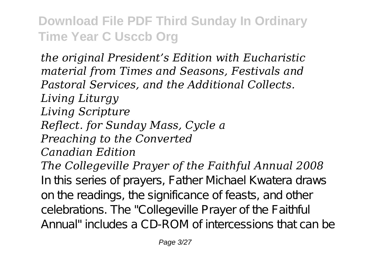*the original President's Edition with Eucharistic material from Times and Seasons, Festivals and Pastoral Services, and the Additional Collects. Living Liturgy Living Scripture Reflect. for Sunday Mass, Cycle a Preaching to the Converted Canadian Edition The Collegeville Prayer of the Faithful Annual 2008* In this series of prayers, Father Michael Kwatera draws on the readings, the significance of feasts, and other celebrations. The "Collegeville Prayer of the Faithful Annual" includes a CD-ROM of intercessions that can be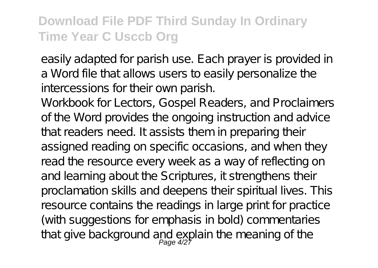easily adapted for parish use. Each prayer is provided in a Word file that allows users to easily personalize the intercessions for their own parish.

Workbook for Lectors, Gospel Readers, and Proclaimers of the Word provides the ongoing instruction and advice that readers need. It assists them in preparing their assigned reading on specific occasions, and when they read the resource every week as a way of reflecting on and learning about the Scriptures, it strengthens their proclamation skills and deepens their spiritual lives. This resource contains the readings in large print for practice (with suggestions for emphasis in bold) commentaries that give background and explain the meaning of the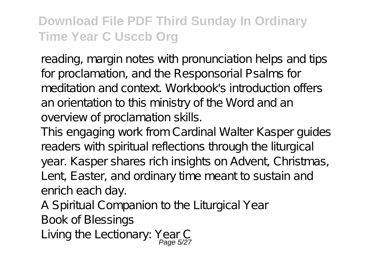reading, margin notes with pronunciation helps and tips for proclamation, and the Responsorial Psalms for meditation and context. Workbook's introduction offers an orientation to this ministry of the Word and an overview of proclamation skills.

This engaging work from Cardinal Walter Kasper guides readers with spiritual reflections through the liturgical year. Kasper shares rich insights on Advent, Christmas, Lent, Easter, and ordinary time meant to sustain and enrich each day.

A Spiritual Companion to the Liturgical Year

Book of Blessings

Living the Lectionary: Year C Page 5/27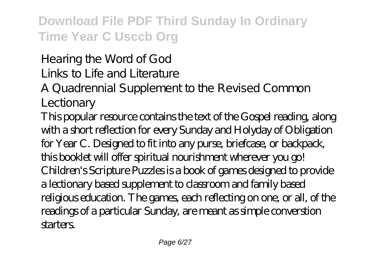Hearing the Word of God

Links to Life and Literature

A Quadrennial Supplement to the Revised Common Lectionary

This popular resource contains the text of the Gospel reading, along with a short reflection for every Sunday and Holyday of Obligation for Year C. Designed to fit into any purse, briefcase, or backpack, this booklet will offer spiritual nourishment wherever you go! Children's Scripture Puzzles is a book of games designed to provide a lectionary based supplement to classroom and family based religious education. The games, each reflecting on one, or all, of the readings of a particular Sunday, are meant as simple converstion starters.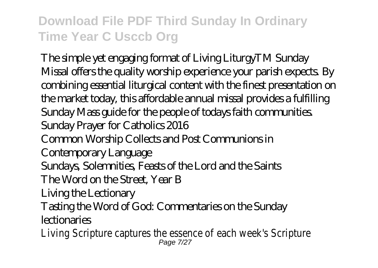The simple yet engaging format of Living LiturgyTM Sunday Missal offers the quality worship experience your parish expects. By combining essential liturgical content with the finest presentation on the market today, this affordable annual missal provides a fulfilling Sunday Mass guide for the people of todays faith communities. Sunday Prayer for Catholics 2016 Common Worship Collects and Post Communions in Contemporary Language Sundays, Solemnities, Feasts of the Lord and the Saints The Word on the Street, Year B

Living the Lectionary

Tasting the Word of God: Commentaries on the Sunday

**lectionaries** 

Living Scripture captures the essence of each week's Scripture Page 7/27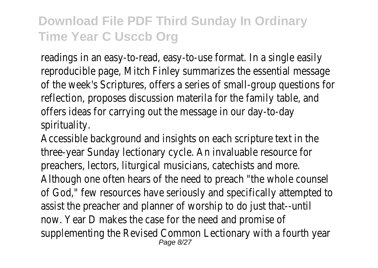readings in an easy-to-read, easy-to-use format. In a single easily reproducible page, Mitch Finley summarizes the essential message of the week's Scriptures, offers a series of small-group questions for reflection, proposes discussion materila for the family table, and offers ideas for carrying out the message in our day-to-day spirituality.

Accessible background and insights on each scripture text in the three-year Sunday lectionary cycle. An invaluable resource for preachers, lectors, liturgical musicians, catechists and more. Although one often hears of the need to preach "the whole counsel of God," few resources have seriously and specifically attempted to assist the preacher and planner of worship to do just that--until now. Year D makes the case for the need and promise of supplementing the Revised Common Lectionary with a fourth year Page 8/27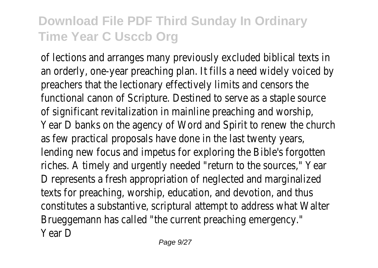of lections and arranges many previously excluded biblical texts in an orderly, one-year preaching plan. It fills a need widely voiced by preachers that the lectionary effectively limits and censors the functional canon of Scripture. Destined to serve as a staple source of significant revitalization in mainline preaching and worship, Year D banks on the agency of Word and Spirit to renew the church as few practical proposals have done in the last twenty years, lending new focus and impetus for exploring the Bible's forgotten riches. A timely and urgently needed "return to the sources," Year D represents a fresh appropriation of neglected and marginalized texts for preaching, worship, education, and devotion, and thus constitutes a substantive, scriptural attempt to address what Walter Brueggemann has called "the current preaching emergency." Year D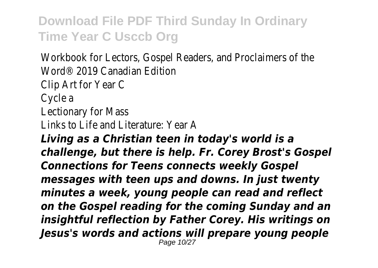Workbook for Lectors, Gospel Readers, and Proclaimers of the Word® 2019 Canadian Edition Clip Art for Year C Cycle a Lectionary for Mass Links to Life and Literature: Year A *Living as a Christian teen in today's world is a challenge, but there is help. Fr. Corey Brost's Gospel Connections for Teens connects weekly Gospel messages with teen ups and downs. In just twenty minutes a week, young people can read and reflect on the Gospel reading for the coming Sunday and an insightful reflection by Father Corey. His writings on Jesus's words and actions will prepare young people* Page 10/27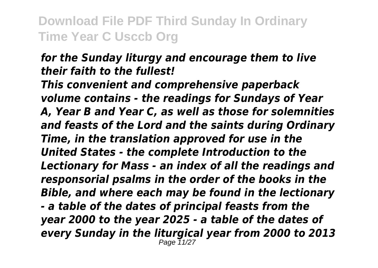#### *for the Sunday liturgy and encourage them to live their faith to the fullest!*

*This convenient and comprehensive paperback volume contains - the readings for Sundays of Year A, Year B and Year C, as well as those for solemnities and feasts of the Lord and the saints during Ordinary Time, in the translation approved for use in the United States - the complete Introduction to the Lectionary for Mass - an index of all the readings and responsorial psalms in the order of the books in the Bible, and where each may be found in the lectionary - a table of the dates of principal feasts from the year 2000 to the year 2025 - a table of the dates of every Sunday in the liturgical year from 2000 to 2013* Page 11/27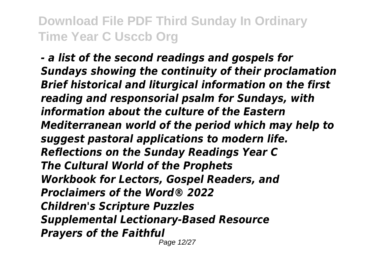*- a list of the second readings and gospels for Sundays showing the continuity of their proclamation Brief historical and liturgical information on the first reading and responsorial psalm for Sundays, with information about the culture of the Eastern Mediterranean world of the period which may help to suggest pastoral applications to modern life. Reflections on the Sunday Readings Year C The Cultural World of the Prophets Workbook for Lectors, Gospel Readers, and Proclaimers of the Word® 2022 Children's Scripture Puzzles Supplemental Lectionary-Based Resource Prayers of the Faithful*

Page 12/27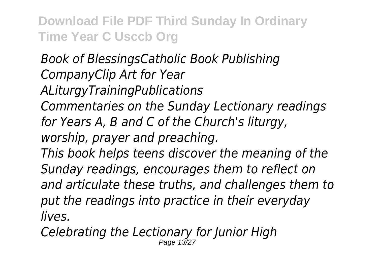*Book of BlessingsCatholic Book Publishing CompanyClip Art for Year ALiturgyTrainingPublications*

*Commentaries on the Sunday Lectionary readings for Years A, B and C of the Church's liturgy, worship, prayer and preaching.*

*This book helps teens discover the meaning of the Sunday readings, encourages them to reflect on and articulate these truths, and challenges them to put the readings into practice in their everyday lives.*

*Celebrating the Lectionary for Junior High* Page 13/27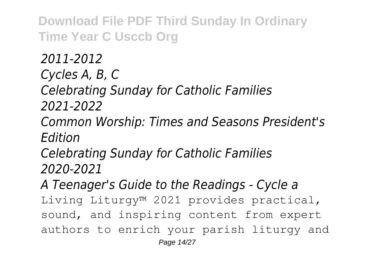*2011-2012 Cycles A, B, C Celebrating Sunday for Catholic Families 2021-2022 Common Worship: Times and Seasons President's Edition Celebrating Sunday for Catholic Families 2020-2021 A Teenager's Guide to the Readings - Cycle a*

Living Liturgy™ 2021 provides practical, sound, and inspiring content from expert authors to enrich your parish liturgy and Page 14/27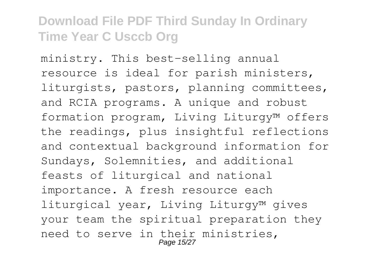ministry. This best-selling annual resource is ideal for parish ministers, liturgists, pastors, planning committees, and RCIA programs. A unique and robust formation program, Living Liturgy™ offers the readings, plus insightful reflections and contextual background information for Sundays, Solemnities, and additional feasts of liturgical and national importance. A fresh resource each liturgical year, Living Liturgy™ gives your team the spiritual preparation they need to serve in their ministries, Page 15/27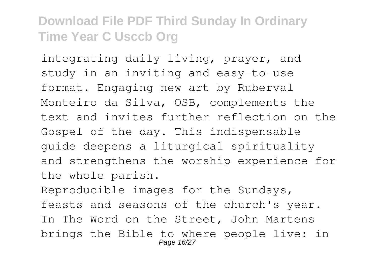integrating daily living, prayer, and study in an inviting and easy-to-use format. Engaging new art by Ruberval Monteiro da Silva, OSB, complements the text and invites further reflection on the Gospel of the day. This indispensable guide deepens a liturgical spirituality and strengthens the worship experience for the whole parish.

Reproducible images for the Sundays, feasts and seasons of the church's year. In The Word on the Street, John Martens brings the Bible to where people live: in Page 16/2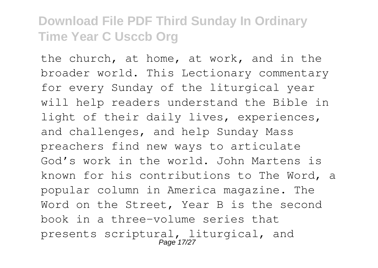the church, at home, at work, and in the broader world. This Lectionary commentary for every Sunday of the liturgical year will help readers understand the Bible in light of their daily lives, experiences, and challenges, and help Sunday Mass preachers find new ways to articulate God's work in the world. John Martens is known for his contributions to The Word, a popular column in America magazine. The Word on the Street, Year B is the second book in a three-volume series that presents scriptural, liturgical, and Page 17/27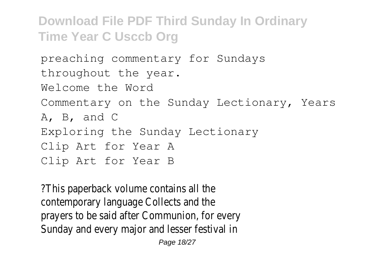```
preaching commentary for Sundays
throughout the year.
Welcome the Word
Commentary on the Sunday Lectionary, Years
A, B, and C
Exploring the Sunday Lectionary
Clip Art for Year A
Clip Art for Year B
```
?This paperback volume contains all the contemporary language Collects and the prayers to be said after Communion, for every Sunday and every major and lesser festival in

Page 18/27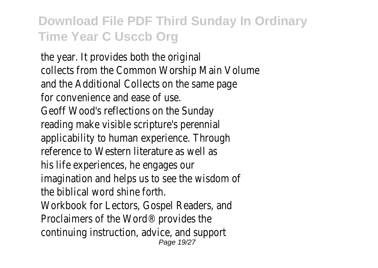the year. It provides both the original collects from the Common Worship Main Volume and the Additional Collects on the same page for convenience and ease of use. Geoff Wood's reflections on the Sunday reading make visible scripture's perennial applicability to human experience. Through reference to Western literature as well as his life experiences, he engages our imagination and helps us to see the wisdom of the biblical word shine forth. Workbook for Lectors, Gospel Readers, and Proclaimers of the Word® provides the continuing instruction, advice, and support Page 19/27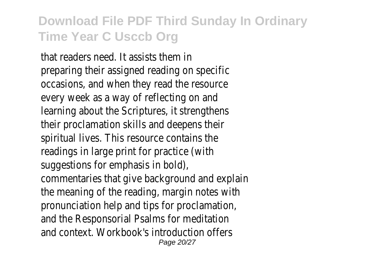that readers need. It assists them in preparing their assigned reading on specific occasions, and when they read the resource every week as a way of reflecting on and learning about the Scriptures, it strengthens their proclamation skills and deepens their spiritual lives. This resource contains the readings in large print for practice (with suggestions for emphasis in bold), commentaries that give background and explain the meaning of the reading, margin notes with pronunciation help and tips for proclamation, and the Responsorial Psalms for meditation and context. Workbook's introduction offers Page 20/27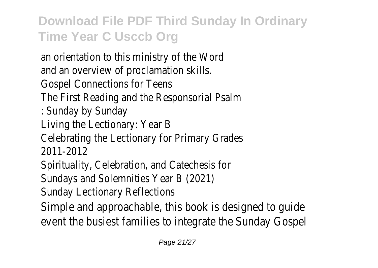an orientation to this ministry of the Word and an overview of proclamation skills. Gospel Connections for Teens The First Reading and the Responsorial Psalm : Sunday by Sunday Living the Lectionary: Year B Celebrating the Lectionary for Primary Grades 2011-2012 Spirituality, Celebration, and Catechesis for Sundays and Solemnities Year B (2021) Sunday Lectionary Reflections Simple and approachable, this book is designed to guide event the busiest families to integrate the Sunday Gospel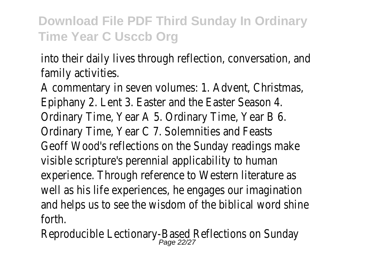into their daily lives through reflection, conversation, and family activities.

A commentary in seven volumes: 1. Advent, Christmas, Epiphany 2. Lent 3. Easter and the Easter Season 4. Ordinary Time, Year A 5. Ordinary Time, Year B 6. Ordinary Time, Year C 7. Solemnities and Feasts Geoff Wood's reflections on the Sunday readings make visible scripture's perennial applicability to human experience. Through reference to Western literature as well as his life experiences, he engages our imagination and helps us to see the wisdom of the biblical word shine forth.

Reproducible Lectionary-Based Reflections on Sunday<br>Page 22/27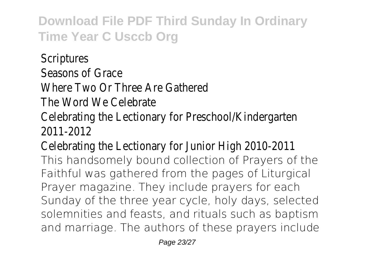**Scriptures** Seasons of Grace Where Two Or Three Are Gathered The Word We Celebrate Celebrating the Lectionary for Preschool/Kindergarten 2011-2012 Celebrating the Lectionary for Junior High 2010-2011 This handsomely bound collection of Prayers of the Faithful was gathered from the pages of Liturgical Prayer magazine. They include prayers for each Sunday of the three year cycle, holy days, selected solemnities and feasts, and rituals such as baptism and marriage. The authors of these prayers include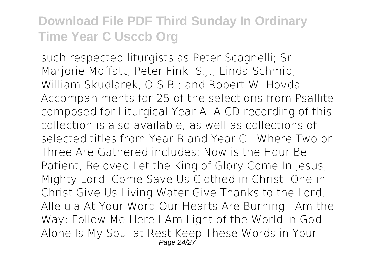such respected liturgists as Peter Scagnelli; Sr. Marjorie Moffatt; Peter Fink, S.J.; Linda Schmid; William Skudlarek, O.S.B.; and Robert W. Hovda. Accompaniments for 25 of the selections from Psallite composed for Liturgical Year A. A CD recording of this collection is also available, as well as collections of selected titles from Year B and Year C . Where Two or Three Are Gathered includes: Now is the Hour Be Patient, Beloved Let the King of Glory Come In Jesus, Mighty Lord, Come Save Us Clothed in Christ, One in Christ Give Us Living Water Give Thanks to the Lord, Alleluia At Your Word Our Hearts Are Burning I Am the Way: Follow Me Here I Am Light of the World In God Alone Is My Soul at Rest Keep These Words in Your Page 24/27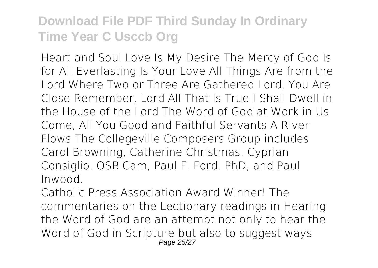Heart and Soul Love Is My Desire The Mercy of God Is for All Everlasting Is Your Love All Things Are from the Lord Where Two or Three Are Gathered Lord, You Are Close Remember, Lord All That Is True I Shall Dwell in the House of the Lord The Word of God at Work in Us Come, All You Good and Faithful Servants A River Flows The Collegeville Composers Group includes Carol Browning, Catherine Christmas, Cyprian Consiglio, OSB Cam, Paul F. Ford, PhD, and Paul Inwood.

Catholic Press Association Award Winner! The commentaries on the Lectionary readings in Hearing the Word of God are an attempt not only to hear the Word of God in Scripture but also to suggest ways Page 25/27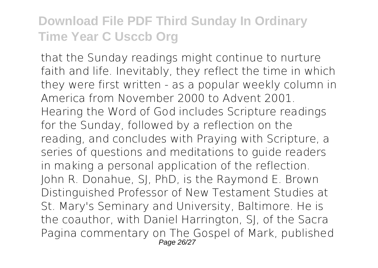that the Sunday readings might continue to nurture faith and life. Inevitably, they reflect the time in which they were first written - as a popular weekly column in America from November 2000 to Advent 2001. Hearing the Word of God includes Scripture readings for the Sunday, followed by a reflection on the reading, and concludes with Praying with Scripture, a series of questions and meditations to guide readers in making a personal application of the reflection. John R. Donahue, SJ, PhD, is the Raymond E. Brown Distinguished Professor of New Testament Studies at St. Mary's Seminary and University, Baltimore. He is the coauthor, with Daniel Harrington, SJ, of the Sacra Pagina commentary on The Gospel of Mark, published Page 26/27